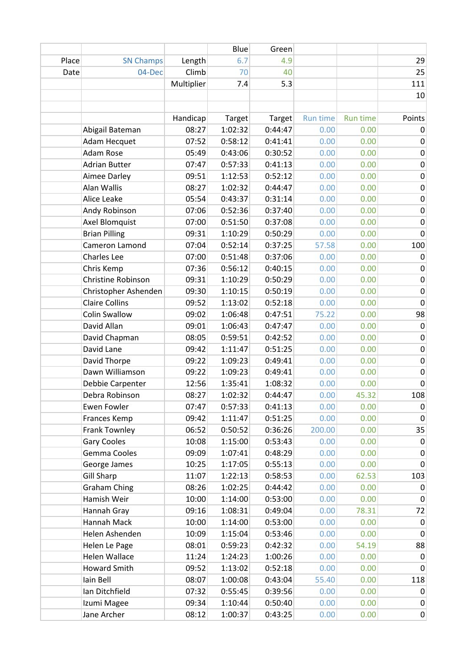|       |                       |            | Blue    | Green   |          |                 |                  |
|-------|-----------------------|------------|---------|---------|----------|-----------------|------------------|
| Place | <b>SN Champs</b>      | Length     | 6.7     | 4.9     |          |                 | 29               |
| Date  | 04-Dec                | Climb      | 70      | 40      |          |                 | 25               |
|       |                       | Multiplier | 7.4     | 5.3     |          |                 | 111              |
|       |                       |            |         |         |          |                 | 10               |
|       |                       |            |         |         |          |                 |                  |
|       |                       | Handicap   | Target  | Target  | Run time | <b>Run time</b> | Points           |
|       | Abigail Bateman       | 08:27      | 1:02:32 | 0:44:47 | 0.00     | 0.00            | 0                |
|       | Adam Hecquet          | 07:52      | 0:58:12 | 0:41:41 | 0.00     | 0.00            | $\mathbf 0$      |
|       | Adam Rose             | 05:49      | 0:43:06 | 0:30:52 | 0.00     | 0.00            | $\pmb{0}$        |
|       | <b>Adrian Butter</b>  | 07:47      | 0:57:33 | 0:41:13 | 0.00     | 0.00            | 0                |
|       | Aimee Darley          | 09:51      | 1:12:53 | 0:52:12 | 0.00     | 0.00            | $\pmb{0}$        |
|       | Alan Wallis           | 08:27      | 1:02:32 | 0:44:47 | 0.00     | 0.00            | $\pmb{0}$        |
|       | Alice Leake           | 05:54      | 0:43:37 | 0:31:14 | 0.00     | 0.00            | $\pmb{0}$        |
|       | Andy Robinson         | 07:06      | 0:52:36 | 0:37:40 | 0.00     | 0.00            | $\pmb{0}$        |
|       | Axel Blomquist        | 07:00      | 0:51:50 | 0:37:08 | 0.00     | 0.00            | $\pmb{0}$        |
|       | <b>Brian Pilling</b>  | 09:31      | 1:10:29 | 0:50:29 | 0.00     | 0.00            | $\pmb{0}$        |
|       | Cameron Lamond        | 07:04      | 0:52:14 | 0:37:25 | 57.58    | 0.00            | 100              |
|       | Charles Lee           | 07:00      | 0:51:48 | 0:37:06 | 0.00     | 0.00            | $\mathbf 0$      |
|       | Chris Kemp            | 07:36      | 0:56:12 | 0:40:15 | 0.00     | 0.00            | 0                |
|       | Christine Robinson    | 09:31      | 1:10:29 | 0:50:29 | 0.00     | 0.00            | $\pmb{0}$        |
|       | Christopher Ashenden  | 09:30      | 1:10:15 | 0:50:19 | 0.00     | 0.00            | $\pmb{0}$        |
|       | <b>Claire Collins</b> | 09:52      | 1:13:02 | 0:52:18 | 0.00     | 0.00            | $\mathbf 0$      |
|       | <b>Colin Swallow</b>  | 09:02      | 1:06:48 | 0:47:51 | 75.22    | 0.00            | 98               |
|       | David Allan           | 09:01      | 1:06:43 | 0:47:47 | 0.00     | 0.00            | 0                |
|       | David Chapman         | 08:05      | 0:59:51 | 0:42:52 | 0.00     | 0.00            | $\pmb{0}$        |
|       | David Lane            | 09:42      | 1:11:47 | 0:51:25 | 0.00     | 0.00            | $\pmb{0}$        |
|       | David Thorpe          | 09:22      | 1:09:23 | 0:49:41 | 0.00     | 0.00            | $\pmb{0}$        |
|       | Dawn Williamson       | 09:22      | 1:09:23 | 0:49:41 | 0.00     | 0.00            | 0                |
|       | Debbie Carpenter      | 12:56      | 1:35:41 | 1:08:32 | 0.00     | 0.00            | 0                |
|       | Debra Robinson        | 08:27      | 1:02:32 | 0:44:47 | 0.00     | 45.32           | 108              |
|       | <b>Ewen Fowler</b>    | 07:47      | 0:57:33 | 0:41:13 | 0.00     | 0.00            | 0                |
|       | Frances Kemp          | 09:42      | 1:11:47 | 0:51:25 | 0.00     | 0.00            | $\mathbf 0$      |
|       | Frank Townley         | 06:52      | 0:50:52 | 0:36:26 | 200.00   | 0.00            | 35               |
|       | <b>Gary Cooles</b>    | 10:08      | 1:15:00 | 0:53:43 | 0.00     | 0.00            | $\mathbf 0$      |
|       | Gemma Cooles          | 09:09      | 1:07:41 | 0:48:29 | 0.00     | 0.00            | $\pmb{0}$        |
|       | George James          | 10:25      | 1:17:05 | 0:55:13 | 0.00     | 0.00            | $\mathbf{0}$     |
|       | <b>Gill Sharp</b>     | 11:07      | 1:22:13 | 0:58:53 | 0.00     | 62.53           | 103              |
|       | <b>Graham Ching</b>   | 08:26      | 1:02:25 | 0:44:42 | 0.00     | 0.00            | 0                |
|       | Hamish Weir           | 10:00      | 1:14:00 | 0:53:00 | 0.00     | 0.00            | $\mathbf 0$      |
|       | Hannah Gray           | 09:16      | 1:08:31 | 0:49:04 | 0.00     | 78.31           | 72               |
|       | Hannah Mack           | 10:00      | 1:14:00 | 0:53:00 | 0.00     | 0.00            | 0                |
|       | Helen Ashenden        | 10:09      | 1:15:04 | 0:53:46 | 0.00     | 0.00            | $\boldsymbol{0}$ |
|       | Helen Le Page         | 08:01      | 0:59:23 | 0:42:32 | 0.00     | 54.19           | 88               |
|       | Helen Wallace         | 11:24      | 1:24:23 | 1:00:26 | 0.00     | 0.00            | $\mathbf 0$      |
|       | <b>Howard Smith</b>   | 09:52      | 1:13:02 | 0:52:18 | 0.00     | 0.00            | 0                |
|       | Iain Bell             | 08:07      | 1:00:08 | 0:43:04 | 55.40    | 0.00            | 118              |
|       | Ian Ditchfield        | 07:32      | 0:55:45 | 0:39:56 | 0.00     | 0.00            | 0                |
|       | Izumi Magee           | 09:34      | 1:10:44 | 0:50:40 | 0.00     | 0.00            | 0                |
|       | Jane Archer           | 08:12      | 1:00:37 | 0:43:25 | 0.00     | 0.00            | $\overline{0}$   |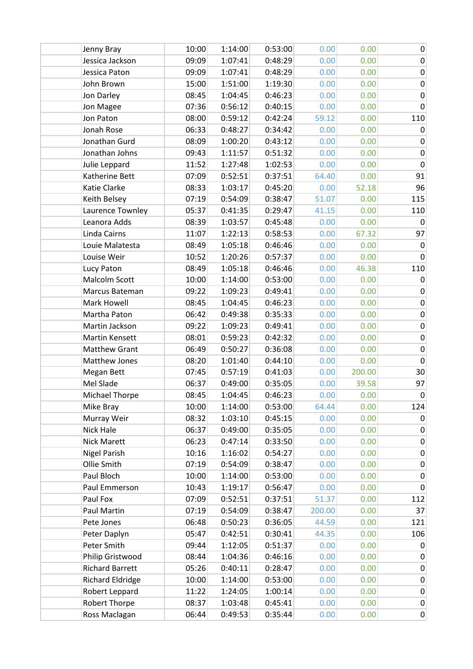| Jenny Bray              | 10:00 | 1:14:00 | 0:53:00 | 0.00   | 0.00   | $\pmb{0}$        |
|-------------------------|-------|---------|---------|--------|--------|------------------|
| Jessica Jackson         | 09:09 | 1:07:41 | 0:48:29 | 0.00   | 0.00   | $\mathbf 0$      |
| Jessica Paton           | 09:09 | 1:07:41 | 0:48:29 | 0.00   | 0.00   | 0                |
| John Brown              | 15:00 | 1:51:00 | 1:19:30 | 0.00   | 0.00   | 0                |
| Jon Darley              | 08:45 | 1:04:45 | 0:46:23 | 0.00   | 0.00   | 0                |
| Jon Magee               | 07:36 | 0:56:12 | 0:40:15 | 0.00   | 0.00   | 0                |
| Jon Paton               | 08:00 | 0:59:12 | 0:42:24 | 59.12  | 0.00   | 110              |
| Jonah Rose              | 06:33 | 0:48:27 | 0:34:42 | 0.00   | 0.00   | 0                |
| Jonathan Gurd           | 08:09 | 1:00:20 | 0:43:12 | 0.00   | 0.00   | $\pmb{0}$        |
| Jonathan Johns          | 09:43 | 1:11:57 | 0:51:32 | 0.00   | 0.00   | 0                |
| Julie Leppard           | 11:52 | 1:27:48 | 1:02:53 | 0.00   | 0.00   | $\boldsymbol{0}$ |
| Katherine Bett          | 07:09 | 0:52:51 | 0:37:51 | 64.40  | 0.00   | 91               |
| Katie Clarke            | 08:33 | 1:03:17 | 0:45:20 | 0.00   | 52.18  | 96               |
| Keith Belsey            | 07:19 | 0:54:09 | 0:38:47 | 51.07  | 0.00   | 115              |
| Laurence Townley        | 05:37 | 0:41:35 | 0:29:47 | 41.15  | 0.00   | 110              |
| Leanora Adds            | 08:39 | 1:03:57 | 0:45:48 | 0.00   | 0.00   | 0                |
| Linda Cairns            | 11:07 | 1:22:13 | 0:58:53 | 0.00   | 67.32  | 97               |
| Louie Malatesta         | 08:49 | 1:05:18 | 0:46:46 | 0.00   | 0.00   | $\boldsymbol{0}$ |
| Louise Weir             | 10:52 | 1:20:26 | 0:57:37 | 0.00   | 0.00   | $\mathbf 0$      |
| Lucy Paton              | 08:49 | 1:05:18 | 0:46:46 | 0.00   | 46.38  | 110              |
| Malcolm Scott           | 10:00 | 1:14:00 | 0:53:00 | 0.00   | 0.00   | $\pmb{0}$        |
| Marcus Bateman          | 09:22 | 1:09:23 | 0:49:41 | 0.00   | 0.00   | $\mathbf 0$      |
| Mark Howell             | 08:45 | 1:04:45 | 0:46:23 | 0.00   | 0.00   | 0                |
| Martha Paton            | 06:42 | 0:49:38 | 0:35:33 | 0.00   | 0.00   | $\pmb{0}$        |
| Martin Jackson          | 09:22 | 1:09:23 | 0:49:41 | 0.00   | 0.00   | $\pmb{0}$        |
| Martin Kensett          | 08:01 | 0:59:23 | 0:42:32 | 0.00   | 0.00   | $\pmb{0}$        |
| <b>Matthew Grant</b>    | 06:49 | 0:50:27 | 0:36:08 | 0.00   | 0.00   | $\pmb{0}$        |
| Matthew Jones           | 08:20 | 1:01:40 | 0:44:10 | 0.00   | 0.00   | $\mathbf 0$      |
| Megan Bett              | 07:45 | 0:57:19 | 0:41:03 | 0.00   | 200.00 | 30               |
| Mel Slade               | 06:37 | 0:49:00 | 0:35:05 | 0.00   | 39.58  | 97               |
| <b>Michael Thorpe</b>   | 08:45 | 1:04:45 | 0:46:23 | 0.00   | 0.00   | $\pmb{0}$        |
| Mike Bray               | 10:00 | 1:14:00 | 0:53:00 | 64.44  | 0.00   | 124              |
| Murray Weir             | 08:32 | 1:03:10 | 0:45:15 | 0.00   | 0.00   | 0                |
| Nick Hale               | 06:37 | 0:49:00 | 0:35:05 | 0.00   | 0.00   | $\mathbf 0$      |
| Nick Marett             | 06:23 | 0:47:14 | 0:33:50 | 0.00   | 0.00   | 0                |
| <b>Nigel Parish</b>     | 10:16 | 1:16:02 | 0:54:27 | 0.00   | 0.00   | 0                |
| Ollie Smith             | 07:19 | 0:54:09 | 0:38:47 | 0.00   | 0.00   | $\pmb{0}$        |
| Paul Bloch              | 10:00 | 1:14:00 | 0:53:00 | 0.00   | 0.00   | $\pmb{0}$        |
| Paul Emmerson           | 10:43 | 1:19:17 | 0:56:47 | 0.00   | 0.00   | $\mathbf 0$      |
| Paul Fox                | 07:09 | 0:52:51 | 0:37:51 | 51.37  | 0.00   | 112              |
| Paul Martin             | 07:19 | 0:54:09 | 0:38:47 | 200.00 | 0.00   | 37               |
| Pete Jones              | 06:48 | 0:50:23 | 0:36:05 | 44.59  | 0.00   | 121              |
| Peter Daplyn            | 05:47 | 0:42:51 | 0:30:41 | 44.35  | 0.00   | 106              |
| Peter Smith             | 09:44 | 1:12:05 | 0:51:37 | 0.00   | 0.00   | $\mathbf 0$      |
| Philip Gristwood        | 08:44 | 1:04:36 | 0:46:16 | 0.00   | 0.00   | $\pmb{0}$        |
| <b>Richard Barrett</b>  | 05:26 | 0:40:11 | 0:28:47 | 0.00   | 0.00   | 0                |
| <b>Richard Eldridge</b> | 10:00 | 1:14:00 | 0:53:00 | 0.00   | 0.00   | $\pmb{0}$        |
| Robert Leppard          | 11:22 | 1:24:05 | 1:00:14 | 0.00   | 0.00   | $\pmb{0}$        |
| Robert Thorpe           | 08:37 | 1:03:48 | 0:45:41 | 0.00   | 0.00   | $\pmb{0}$        |
| Ross Maclagan           | 06:44 | 0:49:53 | 0:35:44 | 0.00   | 0.00   | $\pmb{0}$        |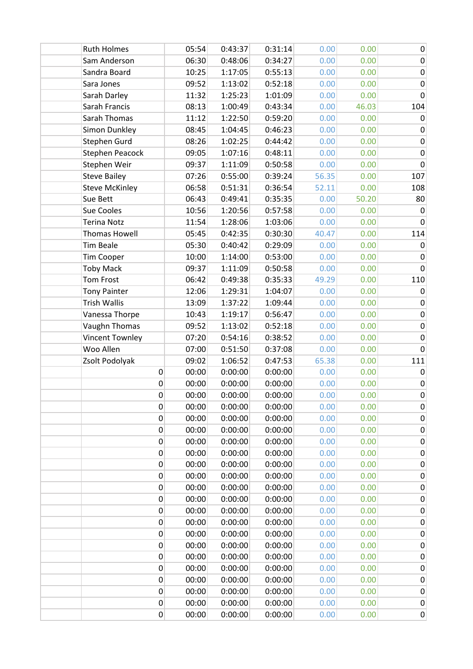| <b>Ruth Holmes</b>     | 05:54 | 0:43:37 | 0:31:14 | 0.00  | 0.00  | $\mathbf 0$      |
|------------------------|-------|---------|---------|-------|-------|------------------|
| Sam Anderson           | 06:30 | 0:48:06 | 0:34:27 | 0.00  | 0.00  | $\mathbf 0$      |
| Sandra Board           | 10:25 | 1:17:05 | 0:55:13 | 0.00  | 0.00  | $\pmb{0}$        |
| Sara Jones             | 09:52 | 1:13:02 | 0:52:18 | 0.00  | 0.00  | $\pmb{0}$        |
| Sarah Darley           | 11:32 | 1:25:23 | 1:01:09 | 0.00  | 0.00  | $\mathbf 0$      |
| Sarah Francis          | 08:13 | 1:00:49 | 0:43:34 | 0.00  | 46.03 | 104              |
| Sarah Thomas           | 11:12 | 1:22:50 | 0:59:20 | 0.00  | 0.00  | $\mathbf 0$      |
| Simon Dunkley          | 08:45 | 1:04:45 | 0:46:23 | 0.00  | 0.00  | $\mathbf 0$      |
| Stephen Gurd           | 08:26 | 1:02:25 | 0:44:42 | 0.00  | 0.00  | $\pmb{0}$        |
| <b>Stephen Peacock</b> | 09:05 | 1:07:16 | 0:48:11 | 0.00  | 0.00  | $\mathbf 0$      |
| Stephen Weir           | 09:37 | 1:11:09 | 0:50:58 | 0.00  | 0.00  | $\pmb{0}$        |
| <b>Steve Bailey</b>    | 07:26 | 0:55:00 | 0:39:24 | 56.35 | 0.00  | 107              |
| <b>Steve McKinley</b>  | 06:58 | 0:51:31 | 0:36:54 | 52.11 | 0.00  | 108              |
| Sue Bett               | 06:43 | 0:49:41 | 0:35:35 | 0.00  | 50.20 | 80               |
| Sue Cooles             | 10:56 | 1:20:56 | 0:57:58 | 0.00  | 0.00  | 0                |
| <b>Terina Notz</b>     | 11:54 | 1:28:06 | 1:03:06 | 0.00  | 0.00  | $\mathbf 0$      |
| <b>Thomas Howell</b>   | 05:45 | 0:42:35 | 0:30:30 | 40.47 | 0.00  | 114              |
| <b>Tim Beale</b>       | 05:30 | 0:40:42 | 0:29:09 | 0.00  | 0.00  | $\mathbf 0$      |
| Tim Cooper             | 10:00 | 1:14:00 | 0:53:00 | 0.00  | 0.00  | $\mathbf 0$      |
| <b>Toby Mack</b>       | 09:37 | 1:11:09 | 0:50:58 | 0.00  | 0.00  | $\mathbf{0}$     |
| <b>Tom Frost</b>       | 06:42 | 0:49:38 | 0:35:33 | 49.29 | 0.00  | 110              |
| <b>Tony Painter</b>    | 12:06 | 1:29:31 | 1:04:07 | 0.00  | 0.00  | 0                |
| <b>Trish Wallis</b>    | 13:09 | 1:37:22 | 1:09:44 | 0.00  | 0.00  | $\pmb{0}$        |
| Vanessa Thorpe         | 10:43 | 1:19:17 | 0:56:47 | 0.00  | 0.00  | $\pmb{0}$        |
| Vaughn Thomas          | 09:52 | 1:13:02 | 0:52:18 | 0.00  | 0.00  | $\pmb{0}$        |
| Vincent Townley        | 07:20 | 0:54:16 | 0:38:52 | 0.00  | 0.00  | $\pmb{0}$        |
| Woo Allen              | 07:00 | 0:51:50 | 0:37:08 | 0.00  | 0.00  | 0                |
| Zsolt Podolyak         | 09:02 | 1:06:52 | 0:47:53 | 65.38 | 0.00  | 111              |
| 0                      | 00:00 | 0:00:00 | 0:00:00 | 0.00  | 0.00  | 0                |
| 0                      | 00:00 | 0:00:00 | 0:00:00 | 0.00  | 0.00  | $\pmb{0}$        |
| 0                      | 00:00 | 0:00:00 | 0:00:00 | 0.00  | 0.00  | $\pmb{0}$        |
| 0                      | 00:00 | 0:00:00 | 0:00:00 | 0.00  | 0.00  | 0                |
| 0                      | 00:00 | 0:00:00 | 0:00:00 | 0.00  | 0.00  | $\boldsymbol{0}$ |
| 0                      | 00:00 | 0:00:00 | 0:00:00 | 0.00  | 0.00  | $\boldsymbol{0}$ |
| $\boldsymbol{0}$       | 00:00 | 0:00:00 | 0:00:00 | 0.00  | 0.00  | $\pmb{0}$        |
| 0                      | 00:00 | 0:00:00 | 0:00:00 | 0.00  | 0.00  | $\pmb{0}$        |
| 0                      | 00:00 | 0:00:00 | 0:00:00 | 0.00  | 0.00  | $\pmb{0}$        |
| $\boldsymbol{0}$       | 00:00 | 0:00:00 | 0:00:00 | 0.00  | 0.00  | $\pmb{0}$        |
| 0                      | 00:00 | 0:00:00 | 0:00:00 | 0.00  | 0.00  | $\pmb{0}$        |
| 0                      | 00:00 | 0:00:00 | 0:00:00 | 0.00  | 0.00  | $\boldsymbol{0}$ |
| 0                      | 00:00 | 0:00:00 | 0:00:00 | 0.00  | 0.00  | 0                |
| 0                      | 00:00 | 0:00:00 | 0:00:00 | 0.00  | 0.00  | $\pmb{0}$        |
| $\pmb{0}$              | 00:00 | 0:00:00 | 0:00:00 | 0.00  | 0.00  | $\pmb{0}$        |
| 0                      | 00:00 | 0:00:00 | 0:00:00 | 0.00  | 0.00  | $\pmb{0}$        |
| 0                      | 00:00 | 0:00:00 | 0:00:00 | 0.00  | 0.00  | $\pmb{0}$        |
| 0                      | 00:00 | 0:00:00 | 0:00:00 | 0.00  | 0.00  | $\boldsymbol{0}$ |
| $\boldsymbol{0}$       | 00:00 | 0:00:00 | 0:00:00 | 0.00  | 0.00  | $\pmb{0}$        |
| 0                      | 00:00 | 0:00:00 | 0:00:00 | 0.00  | 0.00  | $\pmb{0}$        |
| 0                      | 00:00 | 0:00:00 | 0:00:00 | 0.00  | 0.00  | $\pmb{0}$        |
| $\mathbf 0$            | 00:00 | 0:00:00 | 0:00:00 | 0.00  | 0.00  | $\pmb{0}$        |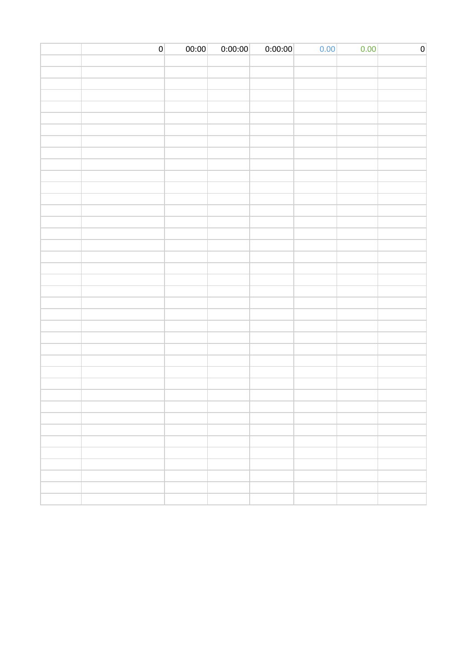| 0 | 00:00 | 0:00:00 | 0:00:00 | 0.00 | 0.00 | $\mathsf{O}\xspace$ |
|---|-------|---------|---------|------|------|---------------------|
|   |       |         |         |      |      |                     |
|   |       |         |         |      |      |                     |
|   |       |         |         |      |      |                     |
|   |       |         |         |      |      |                     |
|   |       |         |         |      |      |                     |
|   |       |         |         |      |      |                     |
|   |       |         |         |      |      |                     |
|   |       |         |         |      |      |                     |
|   |       |         |         |      |      |                     |
|   |       |         |         |      |      |                     |
|   |       |         |         |      |      |                     |
|   |       |         |         |      |      |                     |
|   |       |         |         |      |      |                     |
|   |       |         |         |      |      |                     |
|   |       |         |         |      |      |                     |
|   |       |         |         |      |      |                     |
|   |       |         |         |      |      |                     |
|   |       |         |         |      |      |                     |
|   |       |         |         |      |      |                     |
|   |       |         |         |      |      |                     |
|   |       |         |         |      |      |                     |
|   |       |         |         |      |      |                     |
|   |       |         |         |      |      |                     |
|   |       |         |         |      |      |                     |
|   |       |         |         |      |      |                     |
|   |       |         |         |      |      |                     |
|   |       |         |         |      |      |                     |
|   |       |         |         |      |      |                     |
|   |       |         |         |      |      |                     |
|   |       |         |         |      |      |                     |
|   |       |         |         |      |      |                     |
|   |       |         |         |      |      |                     |
|   |       |         |         |      |      |                     |
|   |       |         |         |      |      |                     |
|   |       |         |         |      |      |                     |
|   |       |         |         |      |      |                     |
|   |       |         |         |      |      |                     |
|   |       |         |         |      |      |                     |
|   |       |         |         |      |      |                     |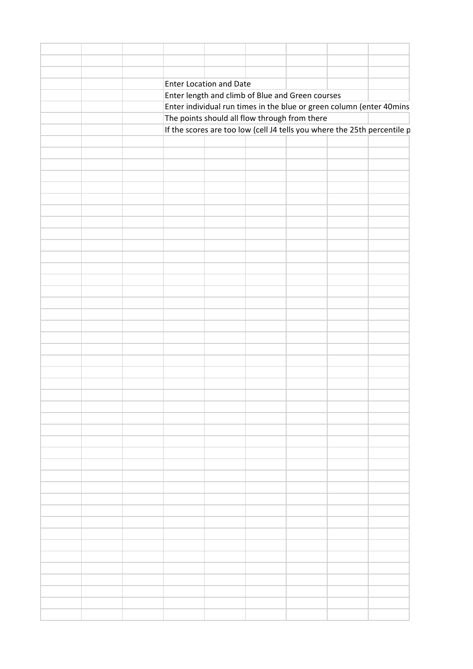|  |  | Enter Location and Date |                                                  |                                                                          |
|--|--|-------------------------|--------------------------------------------------|--------------------------------------------------------------------------|
|  |  |                         | Enter length and climb of Blue and Green courses |                                                                          |
|  |  |                         |                                                  | Enter individual run times in the blue or green column (enter 40mins     |
|  |  |                         | The points should all flow through from there    |                                                                          |
|  |  |                         |                                                  | If the scores are too low (cell J4 tells you where the 25th percentile p |
|  |  |                         |                                                  |                                                                          |
|  |  |                         |                                                  |                                                                          |
|  |  |                         |                                                  |                                                                          |
|  |  |                         |                                                  |                                                                          |
|  |  |                         |                                                  |                                                                          |
|  |  |                         |                                                  |                                                                          |
|  |  |                         |                                                  |                                                                          |
|  |  |                         |                                                  |                                                                          |
|  |  |                         |                                                  |                                                                          |
|  |  |                         |                                                  |                                                                          |
|  |  |                         |                                                  |                                                                          |
|  |  |                         |                                                  |                                                                          |
|  |  |                         |                                                  |                                                                          |
|  |  |                         |                                                  |                                                                          |
|  |  |                         |                                                  |                                                                          |
|  |  |                         |                                                  |                                                                          |
|  |  |                         |                                                  |                                                                          |
|  |  |                         |                                                  |                                                                          |
|  |  |                         |                                                  |                                                                          |
|  |  |                         |                                                  |                                                                          |
|  |  |                         |                                                  |                                                                          |
|  |  |                         |                                                  |                                                                          |
|  |  |                         |                                                  |                                                                          |
|  |  |                         |                                                  |                                                                          |
|  |  |                         |                                                  |                                                                          |
|  |  |                         |                                                  |                                                                          |
|  |  |                         |                                                  |                                                                          |
|  |  |                         |                                                  |                                                                          |
|  |  |                         |                                                  |                                                                          |
|  |  |                         |                                                  |                                                                          |
|  |  |                         |                                                  |                                                                          |
|  |  |                         |                                                  |                                                                          |
|  |  |                         |                                                  |                                                                          |
|  |  |                         |                                                  |                                                                          |
|  |  |                         |                                                  |                                                                          |
|  |  |                         |                                                  |                                                                          |
|  |  |                         |                                                  |                                                                          |
|  |  |                         |                                                  |                                                                          |
|  |  |                         |                                                  |                                                                          |
|  |  |                         |                                                  |                                                                          |
|  |  |                         |                                                  |                                                                          |
|  |  |                         |                                                  |                                                                          |
|  |  |                         |                                                  |                                                                          |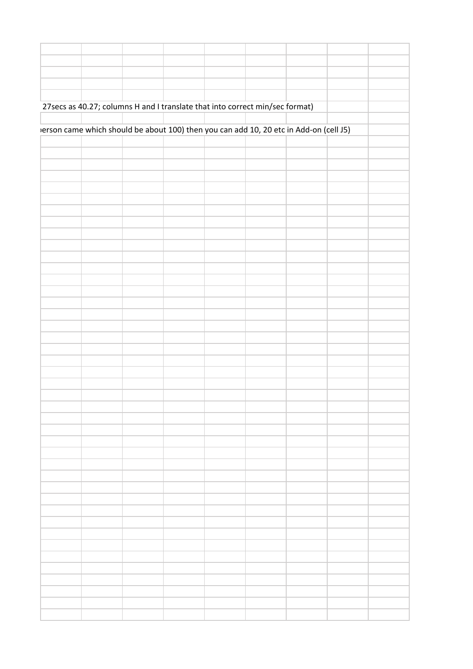|  |  | 27 secs as 40.27; columns H and I translate that into correct min/sec format)         |  |  |  |
|--|--|---------------------------------------------------------------------------------------|--|--|--|
|  |  |                                                                                       |  |  |  |
|  |  | erson came which should be about 100) then you can add 10, 20 etc in Add-on (cell J5) |  |  |  |
|  |  |                                                                                       |  |  |  |
|  |  |                                                                                       |  |  |  |
|  |  |                                                                                       |  |  |  |
|  |  |                                                                                       |  |  |  |
|  |  |                                                                                       |  |  |  |
|  |  |                                                                                       |  |  |  |
|  |  |                                                                                       |  |  |  |
|  |  |                                                                                       |  |  |  |
|  |  |                                                                                       |  |  |  |
|  |  |                                                                                       |  |  |  |
|  |  |                                                                                       |  |  |  |
|  |  |                                                                                       |  |  |  |
|  |  |                                                                                       |  |  |  |
|  |  |                                                                                       |  |  |  |
|  |  |                                                                                       |  |  |  |
|  |  |                                                                                       |  |  |  |
|  |  |                                                                                       |  |  |  |
|  |  |                                                                                       |  |  |  |
|  |  |                                                                                       |  |  |  |
|  |  |                                                                                       |  |  |  |
|  |  |                                                                                       |  |  |  |
|  |  |                                                                                       |  |  |  |
|  |  |                                                                                       |  |  |  |
|  |  |                                                                                       |  |  |  |
|  |  |                                                                                       |  |  |  |
|  |  |                                                                                       |  |  |  |
|  |  |                                                                                       |  |  |  |
|  |  |                                                                                       |  |  |  |
|  |  |                                                                                       |  |  |  |
|  |  |                                                                                       |  |  |  |
|  |  |                                                                                       |  |  |  |
|  |  |                                                                                       |  |  |  |
|  |  |                                                                                       |  |  |  |
|  |  |                                                                                       |  |  |  |
|  |  |                                                                                       |  |  |  |
|  |  |                                                                                       |  |  |  |
|  |  |                                                                                       |  |  |  |
|  |  |                                                                                       |  |  |  |
|  |  |                                                                                       |  |  |  |
|  |  |                                                                                       |  |  |  |
|  |  |                                                                                       |  |  |  |
|  |  |                                                                                       |  |  |  |
|  |  |                                                                                       |  |  |  |